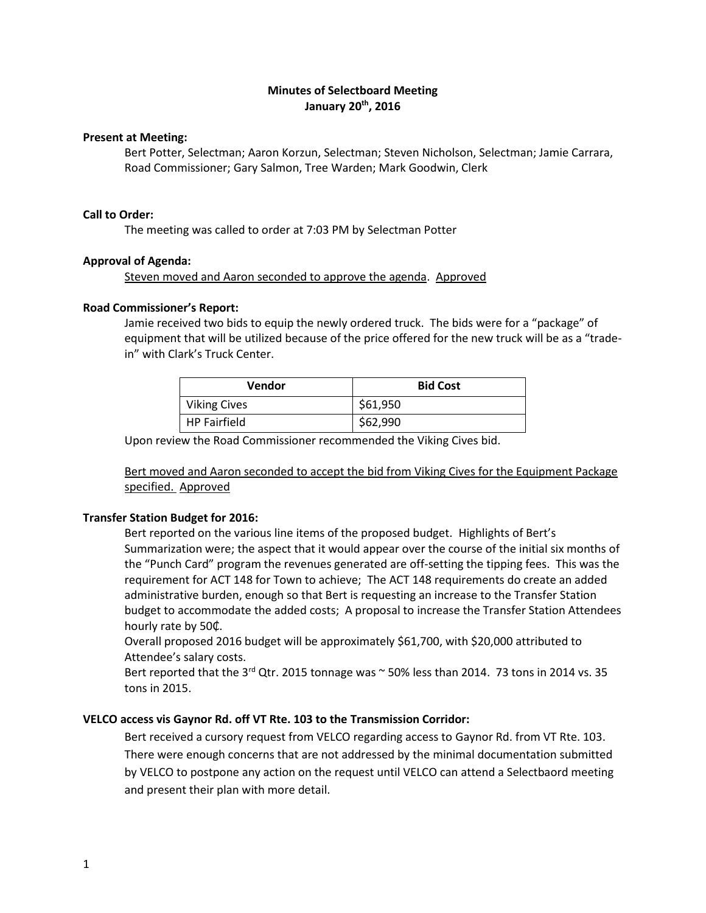# **Minutes of Selectboard Meeting January 20th, 2016**

#### **Present at Meeting:**

Bert Potter, Selectman; Aaron Korzun, Selectman; Steven Nicholson, Selectman; Jamie Carrara, Road Commissioner; Gary Salmon, Tree Warden; Mark Goodwin, Clerk

#### **Call to Order:**

The meeting was called to order at 7:03 PM by Selectman Potter

### **Approval of Agenda:**

Steven moved and Aaron seconded to approve the agenda. Approved

### **Road Commissioner's Report:**

Jamie received two bids to equip the newly ordered truck. The bids were for a "package" of equipment that will be utilized because of the price offered for the new truck will be as a "tradein" with Clark's Truck Center.

| Vendor              | <b>Bid Cost</b> |
|---------------------|-----------------|
| <b>Viking Cives</b> | \$61,950        |
| <b>HP Fairfield</b> | \$62,990        |

Upon review the Road Commissioner recommended the Viking Cives bid.

Bert moved and Aaron seconded to accept the bid from Viking Cives for the Equipment Package specified. Approved

## **Transfer Station Budget for 2016:**

Bert reported on the various line items of the proposed budget. Highlights of Bert's Summarization were; the aspect that it would appear over the course of the initial six months of the "Punch Card" program the revenues generated are off-setting the tipping fees. This was the requirement for ACT 148 for Town to achieve; The ACT 148 requirements do create an added administrative burden, enough so that Bert is requesting an increase to the Transfer Station budget to accommodate the added costs; A proposal to increase the Transfer Station Attendees hourly rate by 50₵.

Overall proposed 2016 budget will be approximately \$61,700, with \$20,000 attributed to Attendee's salary costs.

Bert reported that the  $3^{rd}$  Qtr. 2015 tonnage was  $\sim$  50% less than 2014. 73 tons in 2014 vs. 35 tons in 2015.

## **VELCO access vis Gaynor Rd. off VT Rte. 103 to the Transmission Corridor:**

Bert received a cursory request from VELCO regarding access to Gaynor Rd. from VT Rte. 103. There were enough concerns that are not addressed by the minimal documentation submitted by VELCO to postpone any action on the request until VELCO can attend a Selectbaord meeting and present their plan with more detail.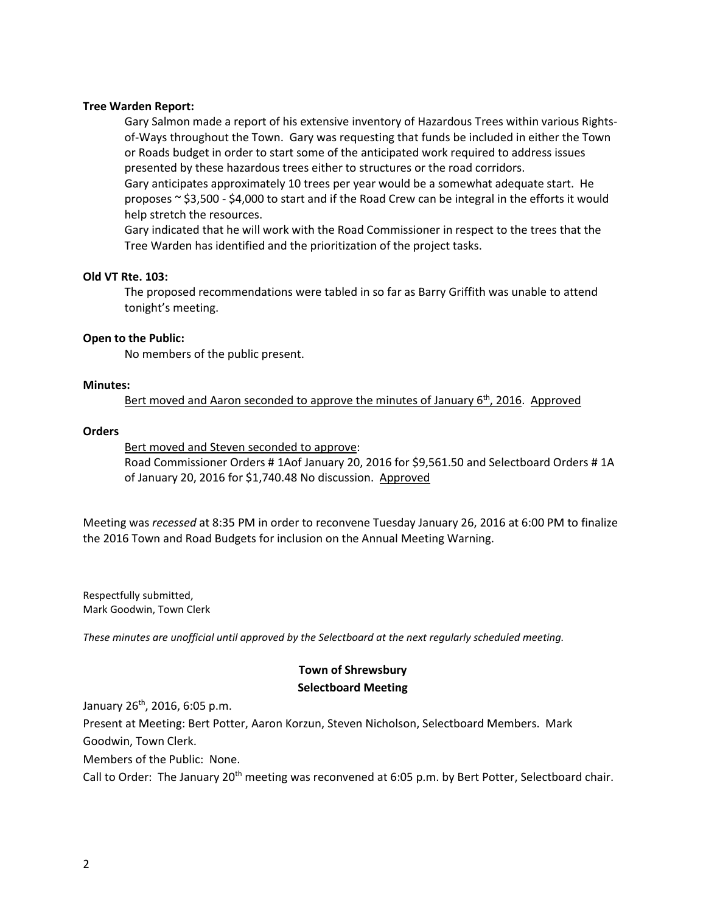### **Tree Warden Report:**

Gary Salmon made a report of his extensive inventory of Hazardous Trees within various Rightsof-Ways throughout the Town. Gary was requesting that funds be included in either the Town or Roads budget in order to start some of the anticipated work required to address issues presented by these hazardous trees either to structures or the road corridors.

Gary anticipates approximately 10 trees per year would be a somewhat adequate start. He proposes  $\sim$  \$3,500 - \$4,000 to start and if the Road Crew can be integral in the efforts it would help stretch the resources.

Gary indicated that he will work with the Road Commissioner in respect to the trees that the Tree Warden has identified and the prioritization of the project tasks.

#### **Old VT Rte. 103:**

The proposed recommendations were tabled in so far as Barry Griffith was unable to attend tonight's meeting.

#### **Open to the Public:**

No members of the public present.

## **Minutes:**

Bert moved and Aaron seconded to approve the minutes of January  $6<sup>th</sup>$ , 2016. Approved

### **Orders**

Bert moved and Steven seconded to approve: Road Commissioner Orders # 1Aof January 20, 2016 for \$9,561.50 and Selectboard Orders # 1A of January 20, 2016 for \$1,740.48 No discussion. Approved

Meeting was *recessed* at 8:35 PM in order to reconvene Tuesday January 26, 2016 at 6:00 PM to finalize the 2016 Town and Road Budgets for inclusion on the Annual Meeting Warning.

Respectfully submitted, Mark Goodwin, Town Clerk

*These minutes are unofficial until approved by the Selectboard at the next regularly scheduled meeting.*

# **Town of Shrewsbury Selectboard Meeting**

January  $26^{th}$ , 2016, 6:05 p.m.

Present at Meeting: Bert Potter, Aaron Korzun, Steven Nicholson, Selectboard Members. Mark

Goodwin, Town Clerk.

Members of the Public: None.

Call to Order: The January 20<sup>th</sup> meeting was reconvened at 6:05 p.m. by Bert Potter, Selectboard chair.